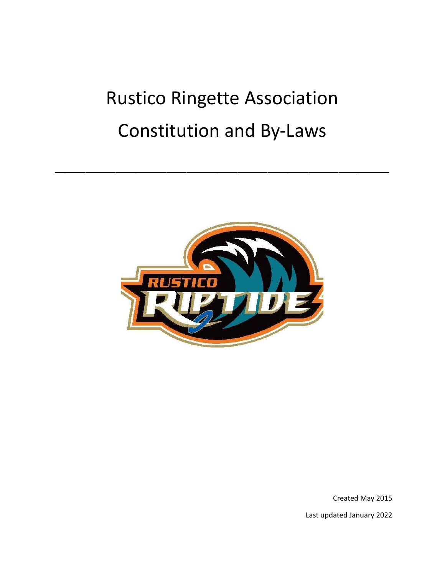# Rustico Ringette Association Constitution and By-Laws

\_\_\_\_\_\_\_\_\_\_\_\_\_\_\_\_\_\_\_\_\_\_\_\_\_\_\_\_\_\_\_\_\_



Created May 2015 Last updated January 2022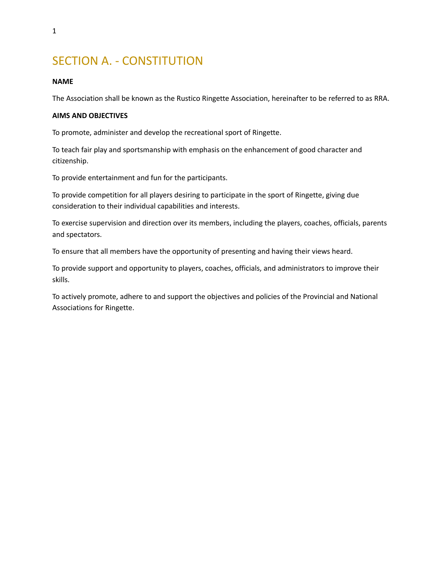# SECTION A. - CONSTITUTION

## **NAME**

The Association shall be known as the Rustico Ringette Association, hereinafter to be referred to as RRA.

## **AIMS AND OBJECTIVES**

To promote, administer and develop the recreational sport of Ringette.

To teach fair play and sportsmanship with emphasis on the enhancement of good character and citizenship.

To provide entertainment and fun for the participants.

To provide competition for all players desiring to participate in the sport of Ringette, giving due consideration to their individual capabilities and interests.

To exercise supervision and direction over its members, including the players, coaches, officials, parents and spectators.

To ensure that all members have the opportunity of presenting and having their views heard.

To provide support and opportunity to players, coaches, officials, and administrators to improve their skills.

To actively promote, adhere to and support the objectives and policies of the Provincial and National Associations for Ringette.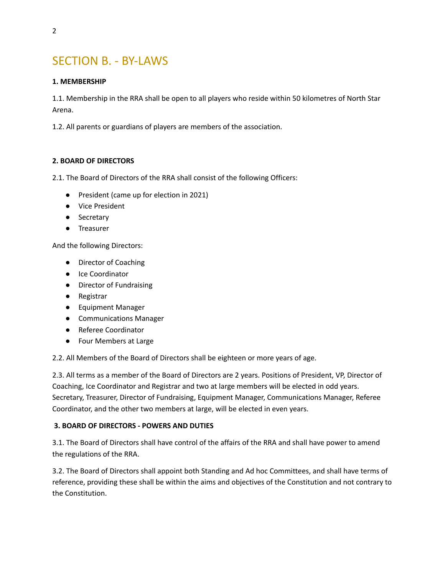# SECTION B. - BY-LAWS

# **1. MEMBERSHIP**

1.1. Membership in the RRA shall be open to all players who reside within 50 kilometres of North Star Arena.

1.2. All parents or guardians of players are members of the association.

# **2. BOARD OF DIRECTORS**

2.1. The Board of Directors of the RRA shall consist of the following Officers:

- President (came up for election in 2021)
- Vice President
- Secretary
- Treasurer

And the following Directors:

- Director of Coaching
- Ice Coordinator
- Director of Fundraising
- Registrar
- Equipment Manager
- Communications Manager
- Referee Coordinator
- Four Members at Large

2.2. All Members of the Board of Directors shall be eighteen or more years of age.

2.3. All terms as a member of the Board of Directors are 2 years. Positions of President, VP, Director of Coaching, Ice Coordinator and Registrar and two at large members will be elected in odd years. Secretary, Treasurer, Director of Fundraising, Equipment Manager, Communications Manager, Referee Coordinator, and the other two members at large, will be elected in even years.

# **3. BOARD OF DIRECTORS - POWERS AND DUTIES**

3.1. The Board of Directors shall have control of the affairs of the RRA and shall have power to amend the regulations of the RRA.

3.2. The Board of Directors shall appoint both Standing and Ad hoc Committees, and shall have terms of reference, providing these shall be within the aims and objectives of the Constitution and not contrary to the Constitution.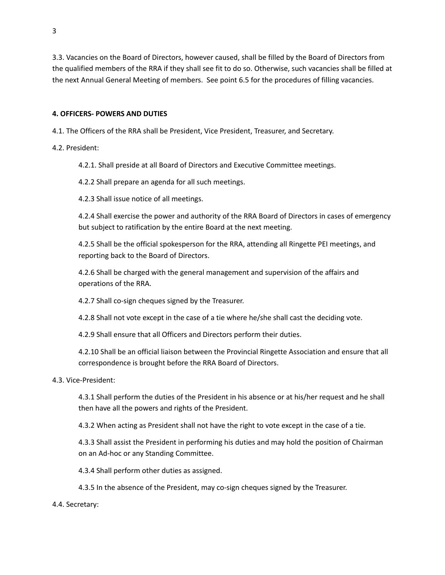3.3. Vacancies on the Board of Directors, however caused, shall be filled by the Board of Directors from the qualified members of the RRA if they shall see fit to do so. Otherwise, such vacancies shall be filled at the next Annual General Meeting of members. See point 6.5 for the procedures of filling vacancies.

# **4. OFFICERS- POWERS AND DUTIES**

4.1. The Officers of the RRA shall be President, Vice President, Treasurer, and Secretary.

4.2. President:

4.2.1. Shall preside at all Board of Directors and Executive Committee meetings.

4.2.2 Shall prepare an agenda for all such meetings.

4.2.3 Shall issue notice of all meetings.

4.2.4 Shall exercise the power and authority of the RRA Board of Directors in cases of emergency but subject to ratification by the entire Board at the next meeting.

4.2.5 Shall be the official spokesperson for the RRA, attending all Ringette PEI meetings, and reporting back to the Board of Directors.

4.2.6 Shall be charged with the general management and supervision of the affairs and operations of the RRA.

4.2.7 Shall co-sign cheques signed by the Treasurer.

4.2.8 Shall not vote except in the case of a tie where he/she shall cast the deciding vote.

4.2.9 Shall ensure that all Officers and Directors perform their duties.

4.2.10 Shall be an official liaison between the Provincial Ringette Association and ensure that all correspondence is brought before the RRA Board of Directors.

4.3. Vice-President:

4.3.1 Shall perform the duties of the President in his absence or at his/her request and he shall then have all the powers and rights of the President.

4.3.2 When acting as President shall not have the right to vote except in the case of a tie.

4.3.3 Shall assist the President in performing his duties and may hold the position of Chairman on an Ad-hoc or any Standing Committee.

4.3.4 Shall perform other duties as assigned.

4.3.5 In the absence of the President, may co-sign cheques signed by the Treasurer.

# 4.4. Secretary: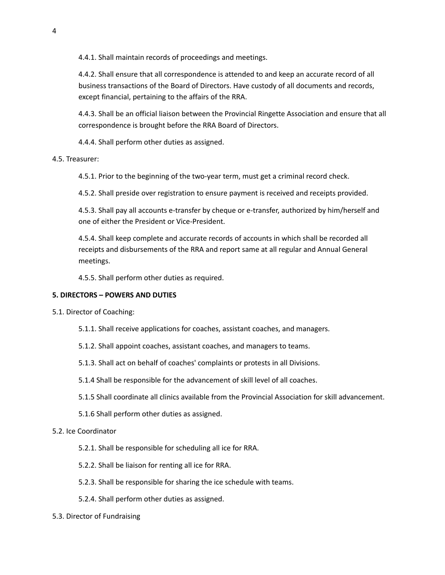4.4.1. Shall maintain records of proceedings and meetings.

4.4.2. Shall ensure that all correspondence is attended to and keep an accurate record of all business transactions of the Board of Directors. Have custody of all documents and records, except financial, pertaining to the affairs of the RRA.

4.4.3. Shall be an official liaison between the Provincial Ringette Association and ensure that all correspondence is brought before the RRA Board of Directors.

4.4.4. Shall perform other duties as assigned.

# 4.5. Treasurer:

4.5.1. Prior to the beginning of the two-year term, must get a criminal record check.

4.5.2. Shall preside over registration to ensure payment is received and receipts provided.

4.5.3. Shall pay all accounts e-transfer by cheque or e-transfer, authorized by him/herself and one of either the President or Vice-President.

4.5.4. Shall keep complete and accurate records of accounts in which shall be recorded all receipts and disbursements of the RRA and report same at all regular and Annual General meetings.

4.5.5. Shall perform other duties as required.

# **5. DIRECTORS – POWERS AND DUTIES**

- 5.1. Director of Coaching:
	- 5.1.1. Shall receive applications for coaches, assistant coaches, and managers.
	- 5.1.2. Shall appoint coaches, assistant coaches, and managers to teams.
	- 5.1.3. Shall act on behalf of coaches' complaints or protests in all Divisions.
	- 5.1.4 Shall be responsible for the advancement of skill level of all coaches.
	- 5.1.5 Shall coordinate all clinics available from the Provincial Association for skill advancement.
	- 5.1.6 Shall perform other duties as assigned.

#### 5.2. Ice Coordinator

- 5.2.1. Shall be responsible for scheduling all ice for RRA.
- 5.2.2. Shall be liaison for renting all ice for RRA.
- 5.2.3. Shall be responsible for sharing the ice schedule with teams.
- 5.2.4. Shall perform other duties as assigned.
- 5.3. Director of Fundraising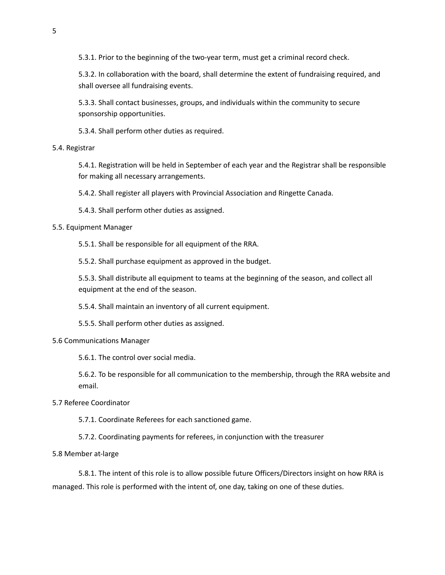5.3.1. Prior to the beginning of the two-year term, must get a criminal record check.

5.3.2. In collaboration with the board, shall determine the extent of fundraising required, and shall oversee all fundraising events.

5.3.3. Shall contact businesses, groups, and individuals within the community to secure sponsorship opportunities.

5.3.4. Shall perform other duties as required.

#### 5.4. Registrar

5.4.1. Registration will be held in September of each year and the Registrar shall be responsible for making all necessary arrangements.

5.4.2. Shall register all players with Provincial Association and Ringette Canada.

5.4.3. Shall perform other duties as assigned.

5.5. Equipment Manager

5.5.1. Shall be responsible for all equipment of the RRA.

5.5.2. Shall purchase equipment as approved in the budget.

5.5.3. Shall distribute all equipment to teams at the beginning of the season, and collect all equipment at the end of the season.

5.5.4. Shall maintain an inventory of all current equipment.

5.5.5. Shall perform other duties as assigned.

#### 5.6 Communications Manager

5.6.1. The control over social media.

5.6.2. To be responsible for all communication to the membership, through the RRA website and email.

#### 5.7 Referee Coordinator

5.7.1. Coordinate Referees for each sanctioned game.

5.7.2. Coordinating payments for referees, in conjunction with the treasurer

#### 5.8 Member at-large

5.8.1. The intent of this role is to allow possible future Officers/Directors insight on how RRA is managed. This role is performed with the intent of, one day, taking on one of these duties.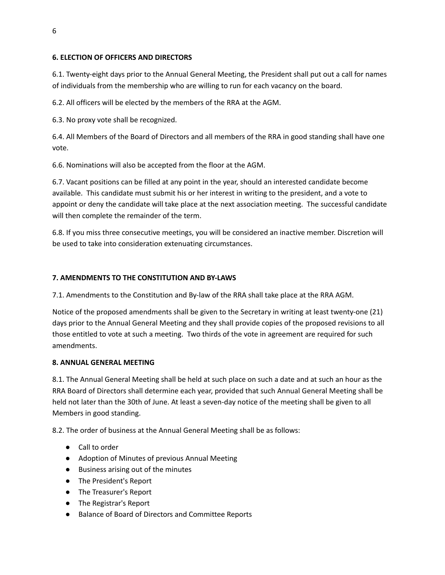# **6. ELECTION OF OFFICERS AND DIRECTORS**

6.1. Twenty-eight days prior to the Annual General Meeting, the President shall put out a call for names of individuals from the membership who are willing to run for each vacancy on the board.

6.2. All officers will be elected by the members of the RRA at the AGM.

6.3. No proxy vote shall be recognized.

6.4. All Members of the Board of Directors and all members of the RRA in good standing shall have one vote.

6.6. Nominations will also be accepted from the floor at the AGM.

6.7. Vacant positions can be filled at any point in the year, should an interested candidate become available. This candidate must submit his or her interest in writing to the president, and a vote to appoint or deny the candidate will take place at the next association meeting. The successful candidate will then complete the remainder of the term.

6.8. If you miss three consecutive meetings, you will be considered an inactive member. Discretion will be used to take into consideration extenuating circumstances.

# **7. AMENDMENTS TO THE CONSTITUTION AND BY-LAWS**

7.1. Amendments to the Constitution and By-law of the RRA shall take place at the RRA AGM.

Notice of the proposed amendments shall be given to the Secretary in writing at least twenty-one (21) days prior to the Annual General Meeting and they shall provide copies of the proposed revisions to all those entitled to vote at such a meeting. Two thirds of the vote in agreement are required for such amendments.

# **8. ANNUAL GENERAL MEETING**

8.1. The Annual General Meeting shall be held at such place on such a date and at such an hour as the RRA Board of Directors shall determine each year, provided that such Annual General Meeting shall be held not later than the 30th of June. At least a seven-day notice of the meeting shall be given to all Members in good standing.

8.2. The order of business at the Annual General Meeting shall be as follows:

- Call to order
- Adoption of Minutes of previous Annual Meeting
- Business arising out of the minutes
- The President's Report
- The Treasurer's Report
- The Registrar's Report
- Balance of Board of Directors and Committee Reports